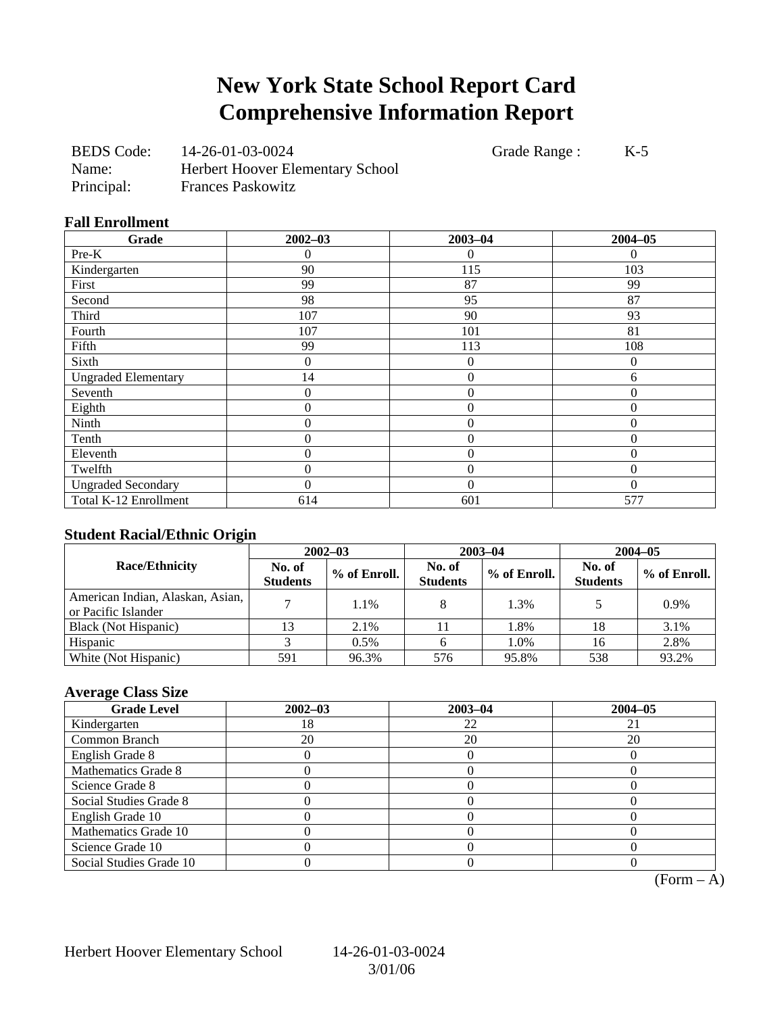## **New York State School Report Card Comprehensive Information Report**

| <b>BEDS</b> Code: | 14-26-01-03-0024                        |
|-------------------|-----------------------------------------|
| Name:             | <b>Herbert Hoover Elementary School</b> |
| Principal:        | <b>Frances Paskowitz</b>                |

Grade Range : K-5

#### **Fall Enrollment**

| Grade                      | $2002 - 03$ | $2003 - 04$      | $2004 - 05$ |
|----------------------------|-------------|------------------|-------------|
| Pre-K                      | 0           | $\theta$         | 0           |
| Kindergarten               | 90          | 115              | 103         |
| First                      | 99          | 87               | 99          |
| Second                     | 98          | 95               | 87          |
| Third                      | 107         | 90               | 93          |
| Fourth                     | 107         | 101              | 81          |
| Fifth                      | 99          | 113              | 108         |
| Sixth                      | 0           | $\theta$         | $\Omega$    |
| <b>Ungraded Elementary</b> | 14          | $\mathbf{0}$     | 6           |
| Seventh                    | 0           | $\mathbf{0}$     | $\Omega$    |
| Eighth                     | 0           | $\boldsymbol{0}$ | $\theta$    |
| Ninth                      | 0           | $\overline{0}$   | $\Omega$    |
| Tenth                      | $\theta$    | $\overline{0}$   | $\Omega$    |
| Eleventh                   | 0           | $\theta$         | $\Omega$    |
| Twelfth                    | 0           | $\overline{0}$   | $\theta$    |
| <b>Ungraded Secondary</b>  | 0           | $\theta$         | $\Omega$    |
| Total K-12 Enrollment      | 614         | 601              | 577         |

#### **Student Racial/Ethnic Origin**

| ້                                                       | $2002 - 03$               |              |                           | $2003 - 04$  | $2004 - 05$               |              |  |
|---------------------------------------------------------|---------------------------|--------------|---------------------------|--------------|---------------------------|--------------|--|
| <b>Race/Ethnicity</b>                                   | No. of<br><b>Students</b> | % of Enroll. | No. of<br><b>Students</b> | % of Enroll. | No. of<br><b>Students</b> | % of Enroll. |  |
| American Indian, Alaskan, Asian,<br>or Pacific Islander |                           | 1.1%         |                           | 1.3%         |                           | 0.9%         |  |
| Black (Not Hispanic)                                    |                           | 2.1%         |                           | 1.8%         | 18                        | 3.1%         |  |
| Hispanic                                                |                           | 0.5%         |                           | 1.0%         | 16                        | 2.8%         |  |
| White (Not Hispanic)                                    | 591                       | 96.3%        | 576                       | 95.8%        | 538                       | 93.2%        |  |

### **Average Class Size**

| <b>Grade Level</b>      | $2002 - 03$ | $2003 - 04$ | $2004 - 05$ |
|-------------------------|-------------|-------------|-------------|
| Kindergarten            | l8          | 22          |             |
| Common Branch           | 20          | 20          | 20          |
| English Grade 8         |             |             |             |
| Mathematics Grade 8     |             |             |             |
| Science Grade 8         |             |             |             |
| Social Studies Grade 8  |             |             |             |
| English Grade 10        |             |             |             |
| Mathematics Grade 10    |             |             |             |
| Science Grade 10        |             |             |             |
| Social Studies Grade 10 |             |             |             |

 $(Form - A)$ 

Herbert Hoover Elementary School 14-26-01-03-0024

3/01/06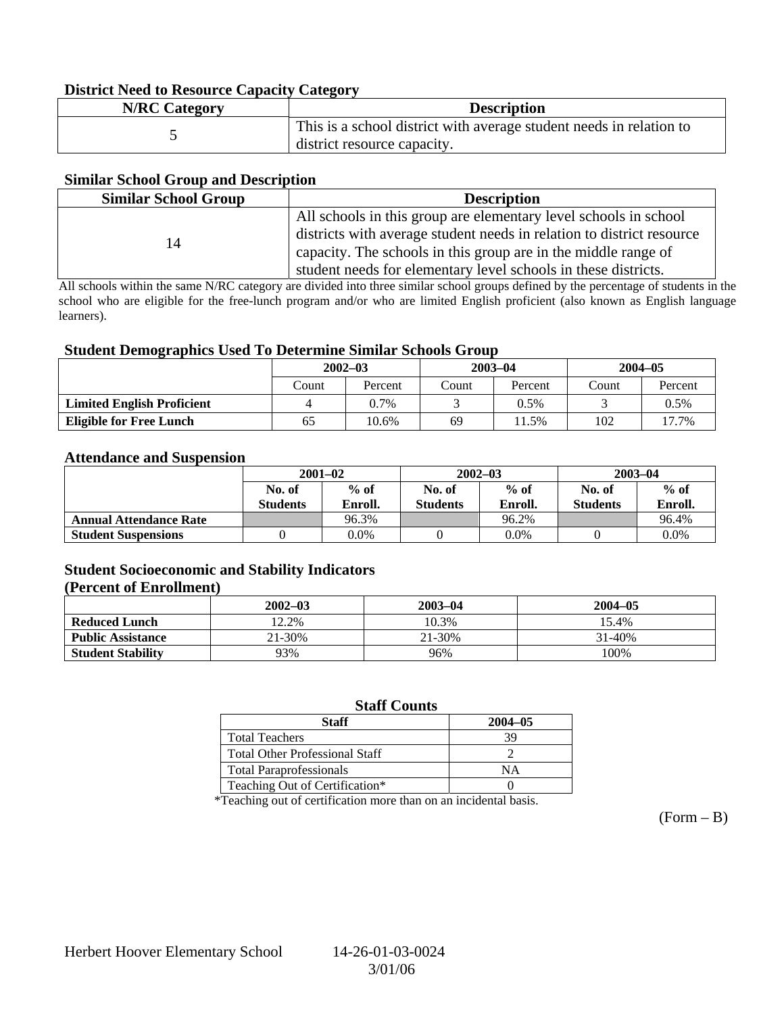#### **District Need to Resource Capacity Category**

| <b>N/RC Category</b> | <b>Description</b>                                                  |
|----------------------|---------------------------------------------------------------------|
|                      | This is a school district with average student needs in relation to |
|                      | district resource capacity.                                         |

#### **Similar School Group and Description**

| <b>Similar School Group</b><br><b>Description</b> |                                                                                                                                                                                                                                                                               |  |  |
|---------------------------------------------------|-------------------------------------------------------------------------------------------------------------------------------------------------------------------------------------------------------------------------------------------------------------------------------|--|--|
| 14                                                | All schools in this group are elementary level schools in school<br>districts with average student needs in relation to district resource<br>capacity. The schools in this group are in the middle range of<br>student needs for elementary level schools in these districts. |  |  |

All schools within the same N/RC category are divided into three similar school groups defined by the percentage of students in the school who are eligible for the free-lunch program and/or who are limited English proficient (also known as English language learners).

#### **Student Demographics Used To Determine Similar Schools Group**

| ີ                                 | $2002 - 03$ |         | $2003 - 04$ |         | $2004 - 05$ |         |
|-----------------------------------|-------------|---------|-------------|---------|-------------|---------|
|                                   | Count       | Percent | Count       | Percent | Count       | Percent |
| <b>Limited English Proficient</b> | 4           | $0.7\%$ |             | 0.5%    |             | 0.5%    |
| <b>Eligible for Free Lunch</b>    | 65          | 10.6%   | 69          | 11.5%   | 102         | 17.7%   |

#### **Attendance and Suspension**

|                               | $2001 - 02$               |                   |                           | $2002 - 03$       | $2003 - 04$               |                   |
|-------------------------------|---------------------------|-------------------|---------------------------|-------------------|---------------------------|-------------------|
|                               | No. of<br><b>Students</b> | $%$ of<br>Enroll. | No. of<br><b>Students</b> | $%$ of<br>Enroll. | No. of<br><b>Students</b> | $%$ of<br>Enroll. |
| <b>Annual Attendance Rate</b> |                           | 96.3%             |                           | 96.2%             |                           | 96.4%             |
| <b>Student Suspensions</b>    |                           | $0.0\%$           |                           | 0.0%              |                           | 0.0%              |

#### **Student Socioeconomic and Stability Indicators**

#### **(Percent of Enrollment)**

|                          | $2002 - 03$ | $2003 - 04$ | $2004 - 05$ |
|--------------------------|-------------|-------------|-------------|
| <b>Reduced Lunch</b>     | 12.2%       | 10.3%       | 15.4%       |
| <b>Public Assistance</b> | 21-30%      | 21-30%      | 31-40%      |
| <b>Student Stability</b> | 93%         | 96%         | 100%        |

#### **Staff Counts**

| Staff                                 | $2004 - 05$ |
|---------------------------------------|-------------|
| <b>Total Teachers</b>                 |             |
| <b>Total Other Professional Staff</b> |             |
| <b>Total Paraprofessionals</b>        | NΑ          |
| Teaching Out of Certification*        |             |

\*Teaching out of certification more than on an incidental basis.

 $(Form - B)$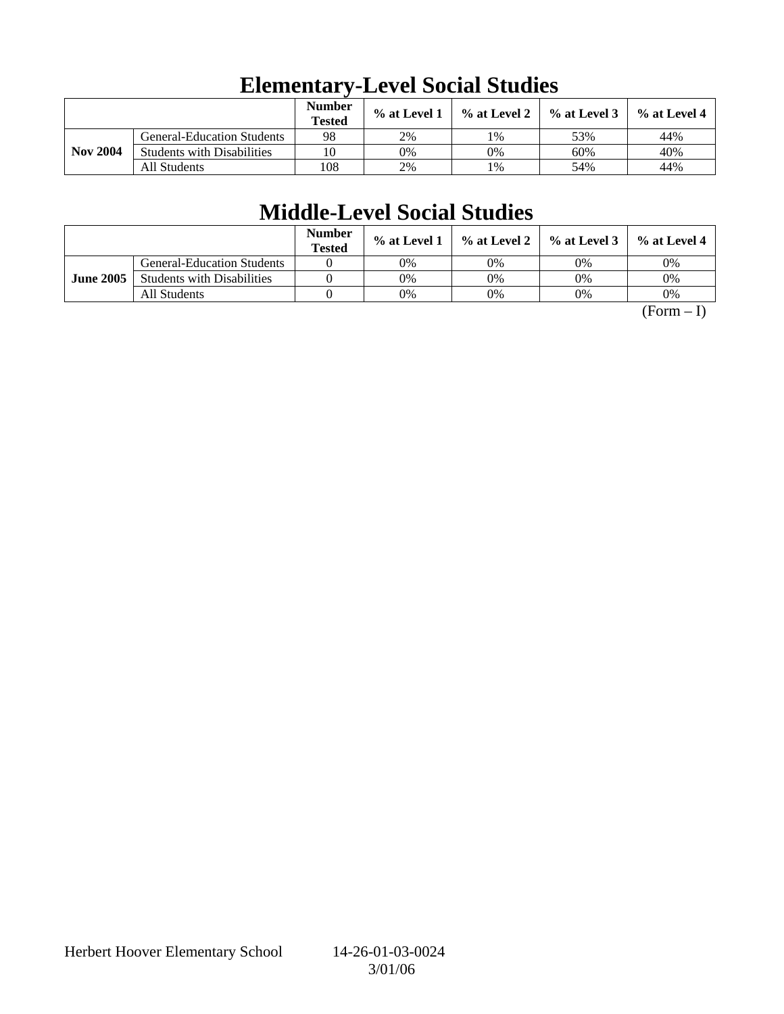|                 |                                   | <b>Number</b><br><b>Tested</b> | % at Level 1 | $\%$ at Level 2 | $%$ at Level 3 | $%$ at Level 4 |
|-----------------|-----------------------------------|--------------------------------|--------------|-----------------|----------------|----------------|
|                 | <b>General-Education Students</b> | 98                             | 2%           | 1%              | 53%            | 44%            |
| <b>Nov 2004</b> | <b>Students with Disabilities</b> | 10                             | 0%           | 0%              | 60%            | 40%            |
|                 | All Students                      | 108                            | 2%           | 1%              | 54%            | 44%            |

# **Elementary-Level Social Studies**

## **Middle-Level Social Studies**

|                  |                                   | <b>Number</b><br><b>Tested</b> | $\%$ at Level 1 | $\%$ at Level 2 $\parallel$ | $\%$ at Level 3 | $\%$ at Level 4 |
|------------------|-----------------------------------|--------------------------------|-----------------|-----------------------------|-----------------|-----------------|
|                  | <b>General-Education Students</b> |                                | 0%              | 0%                          | 0%              | 0%              |
| <b>June 2005</b> | <b>Students with Disabilities</b> |                                | 0%              | 0%                          | 0%              | 0%              |
|                  | All Students                      |                                | 0%              | 0%                          | 0%              | 0%              |

 $(Form - I)$